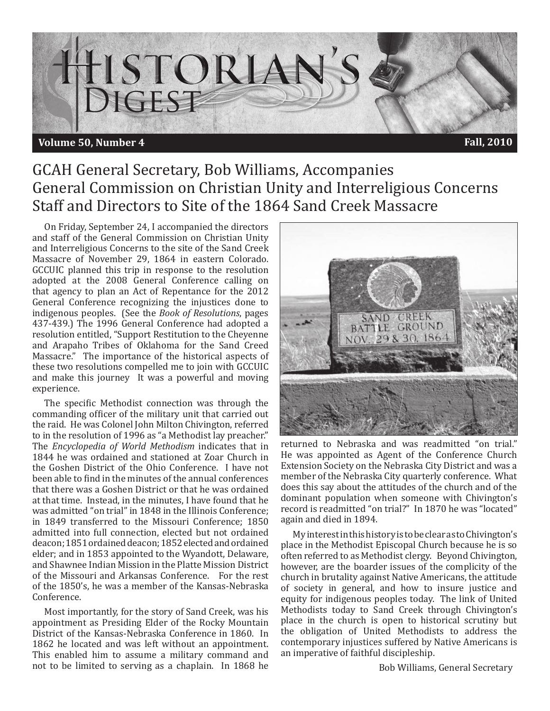

## GCAH General Secretary, Bob Williams, Accompanies General Commission on Christian Unity and Interreligious Concerns Staff and Directors to Site of the 1864 Sand Creek Massacre

On Friday, September 24, I accompanied the directors and staff of the General Commission on Christian Unity and Interreligious Concerns to the site of the Sand Creek Massacre of November 29, 1864 in eastern Colorado. GCCUIC planned this trip in response to the resolution adopted at the 2008 General Conference calling on that agency to plan an Act of Repentance for the 2012 General Conference recognizing the injustices done to indigenous peoples. (See the *Book of Resolutions*, pages 437-439.) The 1996 General Conference had adopted a resolution entitled, "Support Restitution to the Cheyenne and Arapaho Tribes of Oklahoma for the Sand Creed Massacre." The importance of the historical aspects of these two resolutions compelled me to join with GCCUIC and make this journey It was a powerful and moving experience.

The specific Methodist connection was through the commanding officer of the military unit that carried out the raid. He was Colonel John Milton Chivington, referred to in the resolution of 1996 as "a Methodist lay preacher." The *Encyclopedia of World Methodism* indicates that in 1844 he was ordained and stationed at Zoar Church in the Goshen District of the Ohio Conference. I have not been able to find in the minutes of the annual conferences that there was a Goshen District or that he was ordained at that time. Instead, in the minutes, I have found that he was admitted "on trial" in 1848 in the Illinois Conference; in 1849 transferred to the Missouri Conference; 1850 admitted into full connection, elected but not ordained deacon; 1851 ordained deacon; 1852 elected and ordained elder; and in 1853 appointed to the Wyandott, Delaware, and Shawnee Indian Mission in the Platte Mission District of the Missouri and Arkansas Conference. For the rest of the 1850's, he was a member of the Kansas-Nebraska Conference.

Most importantly, for the story of Sand Creek, was his appointment as Presiding Elder of the Rocky Mountain District of the Kansas-Nebraska Conference in 1860. In 1862 he located and was left without an appointment. This enabled him to assume a military command and not to be limited to serving as a chaplain. In 1868 he



returned to Nebraska and was readmitted "on trial." He was appointed as Agent of the Conference Church Extension Society on the Nebraska City District and was a member of the Nebraska City quarterly conference. What does this say about the attitudes of the church and of the dominant population when someone with Chivington's record is readmitted "on trial?" In 1870 he was "located" again and died in 1894.

My interest in this history is to be clear as to Chivington's place in the Methodist Episcopal Church because he is so often referred to as Methodist clergy. Beyond Chivington, however, are the boarder issues of the complicity of the church in brutality against Native Americans, the attitude of society in general, and how to insure justice and equity for indigenous peoples today. The link of United Methodists today to Sand Creek through Chivington's place in the church is open to historical scrutiny but the obligation of United Methodists to address the contemporary injustices suffered by Native Americans is an imperative of faithful discipleship.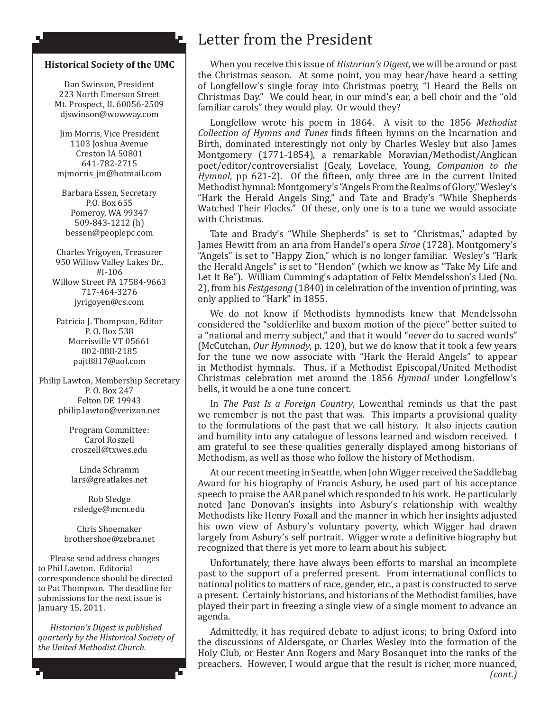#### **Historical Society of the UMC**

Ł

۸J

Dan Swinson, President 223 North Emerson Street Mt. Prospect, IL 60056-2509 djswinson@wowway.com

Jim Morris, Vice President 1103 Joshua Avenue Creston IA 50801 641-782-2715 mjmorris\_jm@hotmail.com

Barbara Essen, Secretary P.O. Box 655 Pomeroy, WA 99347 509-843-1212 (h) bessen@peoplepc.com

Charles Yrigoyen, Treasurer 950 Willow Valley Lakes Dr., #I-106 Willow Street PA 17584-9663 717-464-3276 jyrigoyen@cs.com

Patricia J. Thompson, Editor P. O. Box 538 Morrisville VT 05661 802-888-2185 pajt8817@aol.com

Philip Lawton, Membership Secretary P. O. Box 247 Felton DE 19943 philip.lawton@verizon.net

> Program Committee: Carol Roszell croszell@txwes.edu

Linda Schramm lars@greatlakes.net

Rob Sledge rsledge@mcm.edu

Chris Shoemaker brothershoe@zebra.net

Please send address changes to Phil Lawton. Editorial correspondence should be directed to Pat Thompson. The deadline for submissions for the next issue is January 15, 2011.

*Historian's Digest is published quarterly by the Historical Society of the United Methodist Church.* 

## Letter from the President

When you receive this issue of *Historian's Digest*, we will be around or past the Christmas season. At some point, you may hear/have heard a setting of Longfellow's single foray into Christmas poetry, "I Heard the Bells on Christmas Day." We could hear, in our mind's ear, a bell choir and the "old familiar carols" they would play. Or would they?

Longfellow wrote his poem in 1864. A visit to the 1856 *Methodist Collection of Hymns and Tunes* finds fifteen hymns on the Incarnation and Birth, dominated interestingly not only by Charles Wesley but also James Montgomery (1771-1854), a remarkable Moravian/Methodist/Anglican poet/editor/controversialist (Gealy, Lovelace, Young, *Companion to the Hymnal*, pp 621-2). Of the fifteen, only three are in the current United Methodist hymnal: Montgomery's "Angels From the Realms of Glory," Wesley's "Hark the Herald Angels Sing," and Tate and Brady's "While Shepherds Watched Their Flocks." Of these, only one is to a tune we would associate with Christmas.

Tate and Brady's "While Shepherds" is set to "Christmas," adapted by James Hewitt from an aria from Handel's opera *Siroe* (1728). Montgomery's "Angels" is set to "Happy Zion," which is no longer familiar. Wesley's "Hark the Herald Angels" is set to "Hendon" (which we know as "Take My Life and Let It Be"). William Cumming's adaptation of Felix Mendelsshon's Lied (No. 2), from his *Festgesang* (1840) in celebration of the invention of printing, was only applied to "Hark" in 1855.

We do not know if Methodists hymnodists knew that Mendelssohn considered the "soldierlike and buxom motion of the piece" better suited to a "national and merry subject," and that it would "*never* do to sacred words" (McCutchan, *Our Hymnody*, p. 120), but we do know that it took a few years for the tune we now associate with "Hark the Herald Angels" to appear in Methodist hymnals. Thus, if a Methodist Episcopal/United Methodist Christmas celebration met around the 1856 *Hymnal* under Longfellow's bells, it would be a one tune concert.

In *The Past Is a Foreign Country*, Lowenthal reminds us that the past we remember is not the past that was. This imparts a provisional quality to the formulations of the past that we call history. It also injects caution and humility into any catalogue of lessons learned and wisdom received. I am grateful to see these qualities generally displayed among historians of Methodism, as well as those who follow the history of Methodism.

At our recent meeting in Seattle, when John Wigger received the Saddlebag Award for his biography of Francis Asbury, he used part of his acceptance speech to praise the AAR panel which responded to his work. He particularly noted Jane Donovan's insights into Asbury's relationship with wealthy Methodists like Henry Foxall and the manner in which her insights adjusted his own view of Asbury's voluntary poverty, which Wigger had drawn largely from Asbury's self portrait. Wigger wrote a definitive biography but recognized that there is yet more to learn about his subject.

Unfortunately, there have always been efforts to marshal an incomplete past to the support of a preferred present. From international conflicts to national politics to matters of race, gender, etc., a past is constructed to serve a present. Certainly historians, and historians of the Methodist families, have played their part in freezing a single view of a single moment to advance an agenda.

Admittedly, it has required debate to adjust icons; to bring Oxford into the discussions of Aldersgate, or Charles Wesley into the formation of the Holy Club, or Hester Ann Rogers and Mary Bosanquet into the ranks of the preachers. However, I would argue that the result is richer, more nuanced,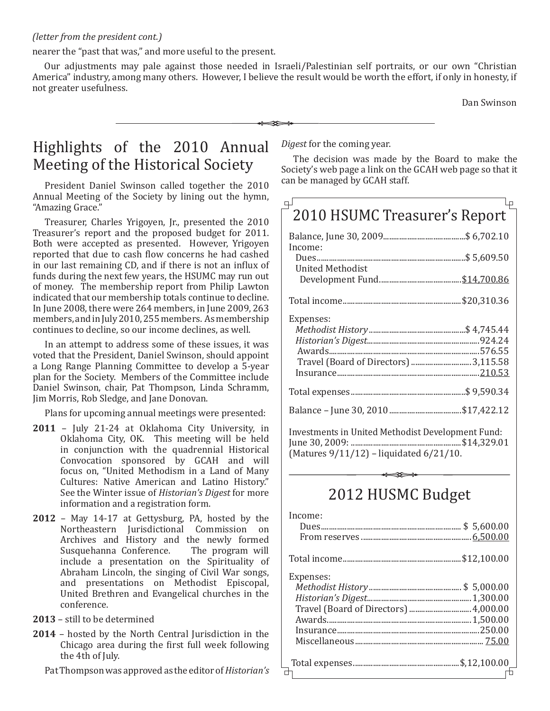### *(letter from the president cont.)*

nearer the "past that was," and more useful to the present.

Our adjustments may pale against those needed in Israeli/Palestinian self portraits, or our own "Christian America" industry, among many others. However, I believe the result would be worth the effort, if only in honesty, if not greater usefulness.

 $\overline{a}$ 

Dan Swinson

# Highlights of the 2010 Annual Meeting of the Historical Society

President Daniel Swinson called together the 2010 Annual Meeting of the Society by lining out the hymn, "Amazing Grace."

Treasurer, Charles Yrigoyen, Jr., presented the 2010 Treasurer's report and the proposed budget for 2011. Both were accepted as presented. However, Yrigoyen reported that due to cash flow concerns he had cashed in our last remaining CD, and if there is not an influx of funds during the next few years, the HSUMC may run out of money. The membership report from Philip Lawton indicated that our membership totals continue to decline. In June 2008, there were 264 members, in June 2009, 263 members, and in July 2010, 255 members. As membership continues to decline, so our income declines, as well.

In an attempt to address some of these issues, it was voted that the President, Daniel Swinson, should appoint a Long Range Planning Committee to develop a 5-year plan for the Society. Members of the Committee include Daniel Swinson, chair, Pat Thompson, Linda Schramm, Jim Morris, Rob Sledge, and Jane Donovan.

Plans for upcoming annual meetings were presented:

- **2011** July 21-24 at Oklahoma City University, in Oklahoma City, OK. This meeting will be held in conjunction with the quadrennial Historical Convocation sponsored by GCAH and will focus on, "United Methodism in a Land of Many Cultures: Native American and Latino History." See the Winter issue of *Historian's Digest* for more information and a registration form.
- **2012** May 14-17 at Gettysburg, PA, hosted by the Northeastern Jurisdictional Commission on Archives and History and the newly formed<br>Susquehanna Conference. The program will Susquehanna Conference. include a presentation on the Spirituality of Abraham Lincoln, the singing of Civil War songs, and presentations on Methodist Episcopal, United Brethren and Evangelical churches in the conference.
- **2013** still to be determined
- **2014** hosted by the North Central Jurisdiction in the Chicago area during the first full week following the 4th of July.

Pat Thompson was approved as the editor of *Historian's* 

*Digest* for the coming year.

The decision was made by the Board to make the Society's web page a link on the GCAH web page so that it can be managed by GCAH staff.

| 2010 HSUMC Treasurer's Report |  |
|-------------------------------|--|
|                               |  |
| Income:                       |  |
| <b>United Methodist</b>       |  |
|                               |  |
| Expenses:                     |  |
|                               |  |
|                               |  |
|                               |  |
|                               |  |
|                               |  |
|                               |  |

Investments in United Methodist Development Fund: June 30, 2009: .......................................................\$14,329.01 (Matures 9/11/12) – liquidated 6/21/10.

## 2012 HUSMC Budget

| Income:   |  |
|-----------|--|
|           |  |
|           |  |
|           |  |
| Expenses: |  |
|           |  |
|           |  |
|           |  |
|           |  |
|           |  |
|           |  |
|           |  |
|           |  |
|           |  |